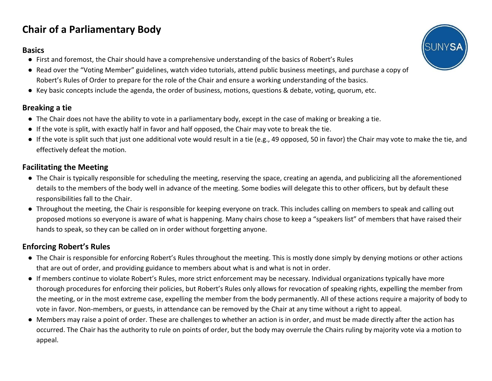# **Chair of a Parliamentary Body**

#### **Basics**

- First and foremost, the Chair should have a comprehensive understanding of the basics of Robert's Rules
- Read over the "Voting Member" guidelines, watch video tutorials, attend public business meetings, and purchase a copy of Robert's Rules of Order to prepare for the role of the Chair and ensure a working understanding of the basics.
- Key basic concepts include the agenda, the order of business, motions, questions & debate, voting, quorum, etc.

#### **Breaking a tie**

- The Chair does not have the ability to vote in a parliamentary body, except in the case of making or breaking a tie.
- If the vote is split, with exactly half in favor and half opposed, the Chair may vote to break the tie.
- If the vote is split such that just one additional vote would result in a tie (e.g., 49 opposed, 50 in favor) the Chair may vote to make the tie, and effectively defeat the motion.

### **Facilitating the Meeting**

- The Chair is typically responsible for scheduling the meeting, reserving the space, creating an agenda, and publicizing all the aforementioned details to the members of the body well in advance of the meeting. Some bodies will delegate this to other officers, but by default these responsibilities fall to the Chair.
- Throughout the meeting, the Chair is responsible for keeping everyone on track. This includes calling on members to speak and calling out proposed motions so everyone is aware of what is happening. Many chairs chose to keep a "speakers list" of members that have raised their hands to speak, so they can be called on in order without forgetting anyone.

## **Enforcing Robert's Rules**

- The Chair is responsible for enforcing Robert's Rules throughout the meeting. This is mostly done simply by denying motions or other actions that are out of order, and providing guidance to members about what is and what is not in order.
- If members continue to violate Robert's Rules, more strict enforcement may be necessary. Individual organizations typically have more thorough procedures for enforcing their policies, but Robert's Rules only allows for revocation of speaking rights, expelling the member from the meeting, or in the most extreme case, expelling the member from the body permanently. All of these actions require a majority of body to vote in favor. Non-members, or guests, in attendance can be removed by the Chair at any time without a right to appeal.
- Members may raise a point of order. These are challenges to whether an action is in order, and must be made directly after the action has occurred. The Chair has the authority to rule on points of order, but the body may overrule the Chairs ruling by majority vote via a motion to appeal.